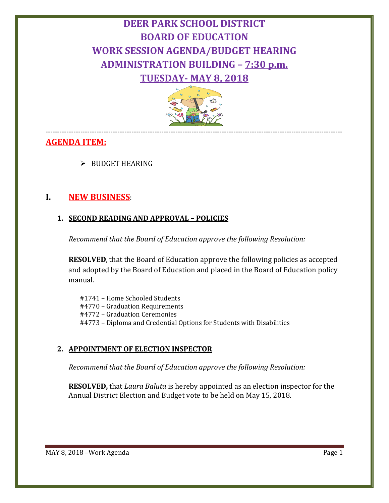# **DEER PARK SCHOOL DISTRICT BOARD OF EDUCATION WORK SESSION AGENDA/BUDGET HEARING ADMINISTRATION BUILDING – 7:30 p.m. TUESDAY- MAY 8, 2018**



#### -------------------------------------------------------------------------------------------------------------------------------- **AGENDA ITEM:**

 $\triangleright$  BUDGET HEARING

# **I. NEW BUSINESS**:

## **1. SECOND READING AND APPROVAL – POLICIES**

*Recommend that the Board of Education approve the following Resolution:*

**RESOLVED**, that the Board of Education approve the following policies as accepted and adopted by the Board of Education and placed in the Board of Education policy manual.

#1741 – Home Schooled Students #4770 – Graduation Requirements #4772 – Graduation Ceremonies #4773 – Diploma and Credential Options for Students with Disabilities

# **2. APPOINTMENT OF ELECTION INSPECTOR**

*Recommend that the Board of Education approve the following Resolution:*

**RESOLVED,** that *Laura Baluta* is hereby appointed as an election inspector for the Annual District Election and Budget vote to be held on May 15, 2018.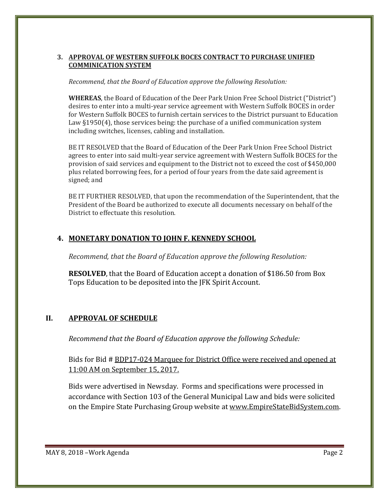#### **3. APPROVAL OF WESTERN SUFFOLK BOCES CONTRACT TO PURCHASE UNIFIED COMMINICATION SYSTEM**

#### *Recommend, that the Board of Education approve the following Resolution:*

**WHEREAS**, the Board of Education of the Deer Park Union Free School District ("District") desires to enter into a multi-year service agreement with Western Suffolk BOCES in order for Western Suffolk BOCES to furnish certain services to the District pursuant to Education Law §1950(4), those services being: the purchase of a unified communication system including switches, licenses, cabling and installation.

BE IT RESOLVED that the Board of Education of the Deer Park Union Free School District agrees to enter into said multi-year service agreement with Western Suffolk BOCES for the provision of said services and equipment to the District not to exceed the cost of \$450,000 plus related borrowing fees, for a period of four years from the date said agreement is signed; and

BE IT FURTHER RESOLVED, that upon the recommendation of the Superintendent, that the President of the Board be authorized to execute all documents necessary on behalf of the District to effectuate this resolution.

## **4. MONETARY DONATION TO JOHN F. KENNEDY SCHOOL**

*Recommend, that the Board of Education approve the following Resolution:*

**RESOLVED**, that the Board of Education accept a donation of \$186.50 from Box Tops Education to be deposited into the JFK Spirit Account.

### **II. APPROVAL OF SCHEDULE**

*Recommend that the Board of Education approve the following Schedule:*

Bids for Bid # BDP17-024 Marquee for District Office were received and opened at 11:00 AM on September 15, 2017.

Bids were advertised in Newsday. Forms and specifications were processed in accordance with Section 103 of the General Municipal Law and bids were solicited on the Empire State Purchasing Group website at [www.EmpireStateBidSystem.com.](http://www.empirestatebidsystem.com/)